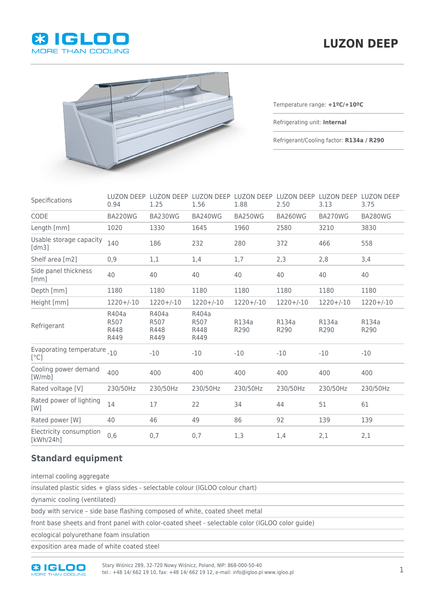





Temperature range: **+1ºC/+10ºC**

Refrigerating unit: **Internal**

Refrigerant/Cooling factor: **R134a / R290**

| Specifications                       | <b>LUZON DEEP</b><br>0.94     | <b>LUZON DEEP</b><br>1.25     | <b>LUZON DEEP</b><br>1.56     | <b>LUZON DEEP</b><br>1.88 | <b>LUZON DEEP</b><br>2.50 | <b>LUZON DEEP</b><br>3.13 | <b>LUZON DEEP</b><br>3.75 |
|--------------------------------------|-------------------------------|-------------------------------|-------------------------------|---------------------------|---------------------------|---------------------------|---------------------------|
| CODE                                 | BA220WG                       | BA230WG                       | <b>BA240WG</b>                | <b>BA250WG</b>            | <b>BA260WG</b>            | BA270WG                   | <b>BA280WG</b>            |
| Length [mm]                          | 1020                          | 1330                          | 1645                          | 1960                      | 2580                      | 3210                      | 3830                      |
| Usable storage capacity<br>[dm3]     | 140                           | 186                           | 232                           | 280                       | 372                       | 466                       | 558                       |
| Shelf area [m2]                      | 0,9                           | 1,1                           | 1,4                           | 1,7                       | 2,3                       | 2,8                       | 3,4                       |
| Side panel thickness<br>[mm]         | 40                            | 40                            | 40                            | 40                        | 40                        | 40                        | 40                        |
| Depth [mm]                           | 1180                          | 1180                          | 1180                          | 1180                      | 1180                      | 1180                      | 1180                      |
| Height [mm]                          | $1220+/-10$                   | $1220+/-10$                   | $1220+/-10$                   | $1220+/-10$               | $1220+/-10$               | $1220+/-10$               | $1220+/-10$               |
| Refrigerant                          | R404a<br>R507<br>R448<br>R449 | R404a<br>R507<br>R448<br>R449 | R404a<br>R507<br>R448<br>R449 | R134a<br>R290             | R134a<br>R290             | R134a<br>R290             | R134a<br>R290             |
| Evaporating temperature<br>[°C]      | $-10$                         | $-10$                         | $-10$                         | $-10$                     | $-10$                     | $-10$                     | $-10$                     |
| Cooling power demand<br>[W/mb]       | 400                           | 400                           | 400                           | 400                       | 400                       | 400                       | 400                       |
| Rated voltage [V]                    | 230/50Hz                      | 230/50Hz                      | 230/50Hz                      | 230/50Hz                  | 230/50Hz                  | 230/50Hz                  | 230/50Hz                  |
| Rated power of lighting<br>[W]       | 14                            | 17                            | 22                            | 34                        | 44                        | 51                        | 61                        |
| Rated power [W]                      | 40                            | 46                            | 49                            | 86                        | 92                        | 139                       | 139                       |
| Electricity consumption<br>[kWh/24h] | 0,6                           | 0,7                           | 0,7                           | 1,3                       | 1,4                       | 2,1                       | 2,1                       |

## **Standard equipment**

internal cooling aggregate

insulated plastic sides + glass sides - selectable colour (IGLOO colour chart)

dynamic cooling (ventilated)

body with service – side base flashing composed of white, coated sheet metal

front base sheets and front panel with color-coated sheet - selectable color (IGLOO color guide)

ecological polyurethane foam insulation

exposition area made of white coated steel

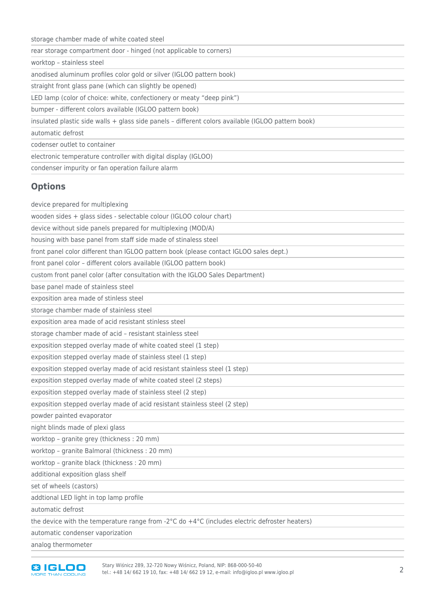## storage chamber made of white coated steel

| rear storage compartment door - hinged (not applicable to corners)                                 |
|----------------------------------------------------------------------------------------------------|
| worktop - stainless steel                                                                          |
| anodised aluminum profiles color gold or silver (IGLOO pattern book)                               |
| straight front glass pane (which can slightly be opened)                                           |
| LED lamp (color of choice: white, confectionery or meaty "deep pink")                              |
| bumper - different colors available (IGLOO pattern book)                                           |
| insulated plastic side walls + glass side panels - different colors available (IGLOO pattern book) |
| automatic defrost                                                                                  |
| codenser outlet to container                                                                       |
| electronic temperature controller with digital display (IGLOO)                                     |
| condenser impurity or fan operation failure alarm                                                  |

## **Options**

device prepared for multiplexing

wooden sides + glass sides - selectable colour (IGLOO colour chart)

device without side panels prepared for multiplexing (MOD/A)

housing with base panel from staff side made of stinaless steel

front panel color different than IGLOO pattern book (please contact IGLOO sales dept.)

front panel color – different colors available (IGLOO pattern book)

custom front panel color (after consultation with the IGLOO Sales Department)

base panel made of stainless steel

exposition area made of stinless steel

storage chamber made of stainless steel

exposition area made of acid resistant stinless steel

storage chamber made of acid – resistant stainless steel

exposition stepped overlay made of white coated steel (1 step)

exposition stepped overlay made of stainless steel (1 step)

exposition stepped overlay made of acid resistant stainless steel (1 step)

exposition stepped overlay made of white coated steel (2 steps)

exposition stepped overlay made of stainless steel (2 step)

exposition stepped overlay made of acid resistant stainless steel (2 step)

powder painted evaporator

night blinds made of plexi glass

worktop – granite grey (thickness : 20 mm)

worktop – granite Balmoral (thickness : 20 mm)

worktop – granite black (thickness : 20 mm)

additional exposition glass shelf

set of wheels (castors)

addtional LED light in top lamp profile

automatic defrost

the device with the temperature range from -2°C do +4°C (includes electric defroster heaters)

automatic condenser vaporization

analog thermometer